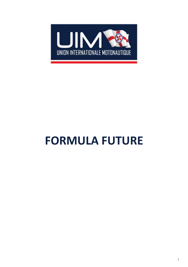

# **FORMULA FUTURE**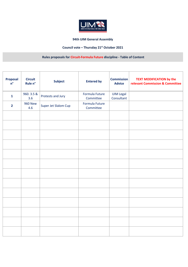

## **94th UIM General Assembly**

# **Council vote – Thursday 21st October 2021**

## **Rules proposals for Circuit-Formula Future discipline - Table of Content**

| Proposal<br>$n^{\circ}$ | <b>Circuit</b><br>Rule n° | <b>Subject</b>       | <b>Entered by</b>           | <b>Commission</b><br><b>Advice</b> | <b>TEXT MODIFICATION by the</b><br>relevant Commission & Committee |
|-------------------------|---------------------------|----------------------|-----------------------------|------------------------------------|--------------------------------------------------------------------|
| $\mathbf{1}$            | 960.3.5 &<br>3.6          | Protests and Jury    | Formula Future<br>Committee | <b>UIM Legal</b><br>Consultant     |                                                                    |
| $\overline{2}$          | <b>960 New</b><br>4.6     | Super Jet Slalom Cup | Formula Future<br>Committee |                                    |                                                                    |
|                         |                           |                      |                             |                                    |                                                                    |
|                         |                           |                      |                             |                                    |                                                                    |
|                         |                           |                      |                             |                                    |                                                                    |
|                         |                           |                      |                             |                                    |                                                                    |
|                         |                           |                      |                             |                                    |                                                                    |
|                         |                           |                      |                             |                                    |                                                                    |
|                         |                           |                      |                             |                                    |                                                                    |
|                         |                           |                      |                             |                                    |                                                                    |
|                         |                           |                      |                             |                                    |                                                                    |
|                         |                           |                      |                             |                                    |                                                                    |
|                         |                           |                      |                             |                                    |                                                                    |
|                         |                           |                      |                             |                                    |                                                                    |
|                         |                           |                      |                             |                                    |                                                                    |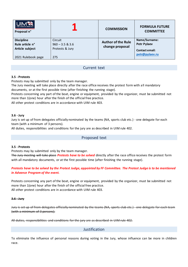| INTERNATIONALE MOTONAUTIQUE<br>Proposal n° |                   | <b>COMMISSION</b>         | <b>FORMULA FUTURE</b><br><b>COMMITTEE</b> |
|--------------------------------------------|-------------------|---------------------------|-------------------------------------------|
| <b>Discipline</b>                          | Circuit           | <b>Author of the Rule</b> | Name/Surname:                             |
| Rule article n°                            | $960 - 3.5 & 3.6$ | change proposal           | <b>Petr Pylaev</b>                        |
| Article subject                            | Protests & Jury   |                           | <b>Contact email:</b>                     |
|                                            |                   |                           | petr@pylaev.ru                            |
| 2021 Rulebook page                         | 275               |                           |                                           |

## Current text

#### **3.5 - Protests**

Protests may by submitted only by the team manager.

The Jury meeting will take place directly after the race office receives the protest form with all mandatory documents, or at the first possible time (after finishing the running stage).

Protests concerning any part of the boat, engine or equipment, provided by the organizer, must be submitted not more than 1(one) hour after the finish of the official free practice.

All other protest conditions are in accordance with UIM rule 403.

#### **3.6 - Jury**

Jury is set up of from delegates officially nominated by the teams (NA, sports club etc.) - one delegate for each team (with a minimum of 3 persons).

All duties, responsibilities and conditions for the jury are as described in UIM rule 402.

#### Proposed text

#### **3.5 - Protests**

Protests may by submitted only by the team manager.

The Jury meeting will take place *Protests have to be solved* directly after the race office receives the protest form with all mandatory documents, or at the first possible time (after finishing the running stage).

#### *Protests have to be solved by the Protest Judge, appointed by FF Committee. The Protest Judge is to be mentioned in Advance Program of the event.*

Protests concerning any part of the boat, engine or equipment, provided by the organizer, must be submitted not more than 1(one) hour after the finish of the official free practice. All other protest conditions are in accordance with UIM rule 403.

#### **3.6 - Jury**

Jury is set up of from delegates officially nominated by the teams (NA, sports club etc.) - one delegate for each team (with a minimum of 3 persons).

All duties, responsibilities and conditions for the jury are as described in UIM rule 402.

Justification

To eliminate the influence of personal reasons during voting in the Jury, whose influence can be more in children race.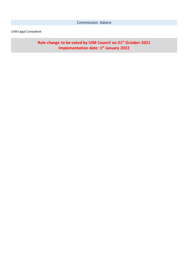# UIM Legal Consultant

**Rule change to be voted by UIM Council on 21st October 2021 Implementation date: 1st January 2022**